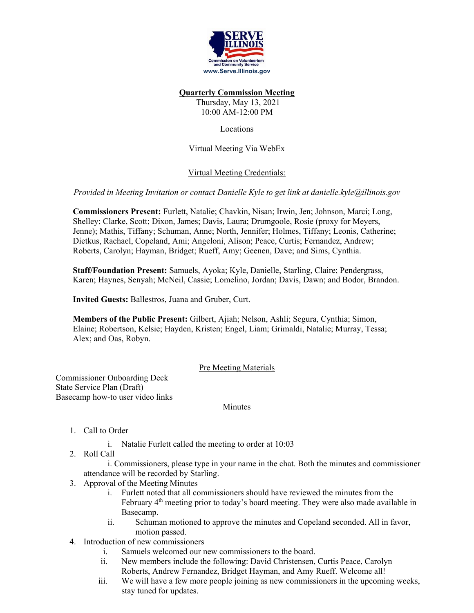

#### **Quarterly Commission Meeting**

Thursday, May 13, 2021 10:00 AM-12:00 PM

## Locations

Virtual Meeting Via WebEx

# Virtual Meeting Credentials:

## *Provided in Meeting Invitation or contact Danielle Kyle to get link at [danielle.kyle@illinois.gov](mailto:danielle.kyle@illinois.gov)*

**Commissioners Present:** Furlett, Natalie; Chavkin, Nisan; Irwin, Jen; Johnson, Marci; Long, Shelley; Clarke, Scott; Dixon, James; Davis, Laura; Drumgoole, Rosie (proxy for Meyers, Jenne); Mathis, Tiffany; Schuman, Anne; North, Jennifer; Holmes, Tiffany; Leonis, Catherine; Dietkus, Rachael, Copeland, Ami; Angeloni, Alison; Peace, Curtis; Fernandez, Andrew; Roberts, Carolyn; Hayman, Bridget; Rueff, Amy; Geenen, Dave; and Sims, Cynthia.

**Staff/Foundation Present:** Samuels, Ayoka; Kyle, Danielle, Starling, Claire; Pendergrass, Karen; Haynes, Senyah; McNeil, Cassie; Lomelino, Jordan; Davis, Dawn; and Bodor, Brandon.

**Invited Guests:** Ballestros, Juana and Gruber, Curt.

**Members of the Public Present:** Gilbert, Ajiah; Nelson, Ashli; Segura, Cynthia; Simon, Elaine; Robertson, Kelsie; Hayden, Kristen; Engel, Liam; Grimaldi, Natalie; Murray, Tessa; Alex; and Oas, Robyn.

### Pre Meeting Materials

Commissioner Onboarding Deck State Service Plan (Draft) Basecamp how-to user video links

### Minutes

- 1. Call to Order
	- i. Natalie Furlett called the meeting to order at 10:03
- 2. Roll Call

i. Commissioners, please type in your name in the chat. Both the minutes and commissioner attendance will be recorded by Starling.

- 3. Approval of the Meeting Minutes
	- i. Furlett noted that all commissioners should have reviewed the minutes from the February  $4<sup>th</sup>$  meeting prior to today's board meeting. They were also made available in Basecamp.
	- ii. Schuman motioned to approve the minutes and Copeland seconded. All in favor, motion passed.
- 4. Introduction of new commissioners
	- i. Samuels welcomed our new commissioners to the board.
	- ii. New members include the following: David Christensen, Curtis Peace, Carolyn Roberts, Andrew Fernandez, Bridget Hayman, and Amy Rueff. Welcome all!
	- iii. We will have a few more people joining as new commissioners in the upcoming weeks, stay tuned for updates.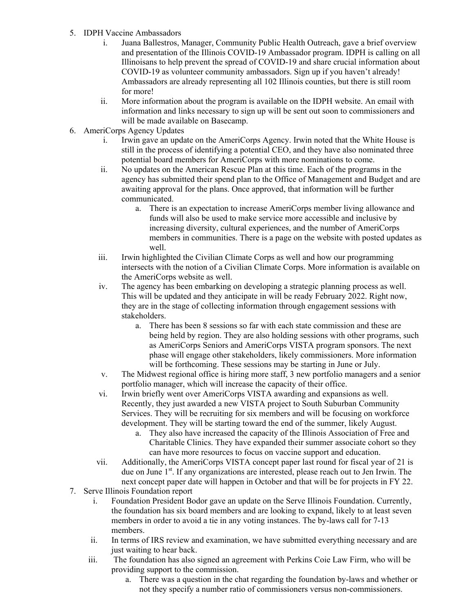- 5. IDPH Vaccine Ambassadors
	- i. Juana Ballestros, Manager, Community Public Health Outreach, gave a brief overview and presentation of the Illinois COVID-19 Ambassador program. IDPH is calling on all Illinoisans to help prevent the spread of COVID-19 and share crucial information about COVID-19 as volunteer community ambassadors. Sign up if you haven't already! Ambassadors are already representing all 102 Illinois counties, but there is still room for more!
	- ii. More information about the program is available on the IDPH website. An email with information and links necessary to sign up will be sent out soon to commissioners and will be made available on Basecamp.
- 6. AmeriCorps Agency Updates
	- i. Irwin gave an update on the AmeriCorps Agency. Irwin noted that the White House is still in the process of identifying a potential CEO, and they have also nominated three potential board members for AmeriCorps with more nominations to come.
	- ii. No updates on the American Rescue Plan at this time. Each of the programs in the agency has submitted their spend plan to the Office of Management and Budget and are awaiting approval for the plans. Once approved, that information will be further communicated.
		- a. There is an expectation to increase AmeriCorps member living allowance and funds will also be used to make service more accessible and inclusive by increasing diversity, cultural experiences, and the number of AmeriCorps members in communities. There is a page on the website with posted updates as well.
	- iii. Irwin highlighted the Civilian Climate Corps as well and how our programming intersects with the notion of a Civilian Climate Corps. More information is available on the AmeriCorps website as well.
	- iv. The agency has been embarking on developing a strategic planning process as well. This will be updated and they anticipate in will be ready February 2022. Right now, they are in the stage of collecting information through engagement sessions with stakeholders.
		- a. There has been 8 sessions so far with each state commission and these are being held by region. They are also holding sessions with other programs, such as AmeriCorps Seniors and AmeriCorps VISTA program sponsors. The next phase will engage other stakeholders, likely commissioners. More information will be forthcoming. These sessions may be starting in June or July.
	- v. The Midwest regional office is hiring more staff, 3 new portfolio managers and a senior portfolio manager, which will increase the capacity of their office.
	- vi. Irwin briefly went over AmeriCorps VISTA awarding and expansions as well. Recently, they just awarded a new VISTA project to South Suburban Community Services. They will be recruiting for six members and will be focusing on workforce development. They will be starting toward the end of the summer, likely August.
		- a. They also have increased the capacity of the Illinois Association of Free and Charitable Clinics. They have expanded their summer associate cohort so they can have more resources to focus on vaccine support and education.
	- vii. Additionally, the AmeriCorps VISTA concept paper last round for fiscal year of 21 is due on June  $1<sup>st</sup>$ . If any organizations are interested, please reach out to Jen Irwin. The next concept paper date will happen in October and that will be for projects in FY 22.
- 7. Serve Illinois Foundation report
	- i. Foundation President Bodor gave an update on the Serve Illinois Foundation. Currently, the foundation has six board members and are looking to expand, likely to at least seven members in order to avoid a tie in any voting instances. The by-laws call for 7-13 members.
	- ii. In terms of IRS review and examination, we have submitted everything necessary and are just waiting to hear back.
	- iii. The foundation has also signed an agreement with Perkins Coie Law Firm, who will be providing support to the commission.
		- a. There was a question in the chat regarding the foundation by-laws and whether or not they specify a number ratio of commissioners versus non-commissioners.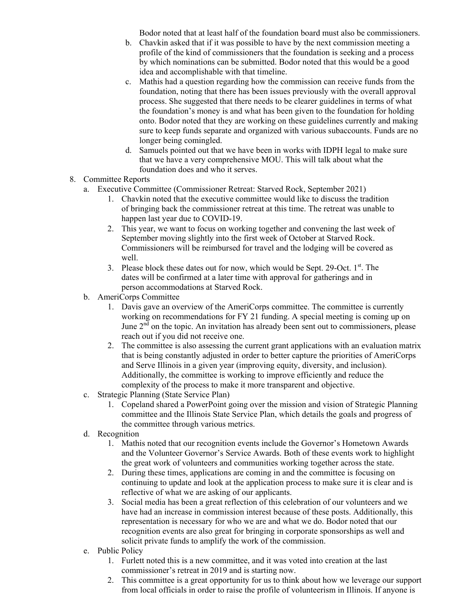Bodor noted that at least half of the foundation board must also be commissioners.

- b. Chavkin asked that if it was possible to have by the next commission meeting a profile of the kind of commissioners that the foundation is seeking and a process by which nominations can be submitted. Bodor noted that this would be a good idea and accomplishable with that timeline.
- c. Mathis had a question regarding how the commission can receive funds from the foundation, noting that there has been issues previously with the overall approval process. She suggested that there needs to be clearer guidelines in terms of what the foundation's money is and what has been given to the foundation for holding onto. Bodor noted that they are working on these guidelines currently and making sure to keep funds separate and organized with various subaccounts. Funds are no longer being comingled.
- d. Samuels pointed out that we have been in works with IDPH legal to make sure that we have a very comprehensive MOU. This will talk about what the foundation does and who it serves.
- 8. Committee Reports
	- a. Executive Committee (Commissioner Retreat: Starved Rock, September 2021)
		- 1. Chavkin noted that the executive committee would like to discuss the tradition of bringing back the commissioner retreat at this time. The retreat was unable to happen last year due to COVID-19.
		- 2. This year, we want to focus on working together and convening the last week of September moving slightly into the first week of October at Starved Rock. Commissioners will be reimbursed for travel and the lodging will be covered as well.
		- 3. Please block these dates out for now, which would be Sept. 29-Oct.  $1<sup>st</sup>$ . The dates will be confirmed at a later time with approval for gatherings and in person accommodations at Starved Rock.
	- b. AmeriCorps Committee
		- 1. Davis gave an overview of the AmeriCorps committee. The committee is currently working on recommendations for FY 21 funding. A special meeting is coming up on June  $2<sup>nd</sup>$  on the topic. An invitation has already been sent out to commissioners, please reach out if you did not receive one.
		- 2. The committee is also assessing the current grant applications with an evaluation matrix that is being constantly adjusted in order to better capture the priorities of AmeriCorps and Serve Illinois in a given year (improving equity, diversity, and inclusion). Additionally, the committee is working to improve efficiently and reduce the complexity of the process to make it more transparent and objective.
	- c. Strategic Planning (State Service Plan)
		- 1. Copeland shared a PowerPoint going over the mission and vision of Strategic Planning committee and the Illinois State Service Plan, which details the goals and progress of the committee through various metrics.
	- d. Recognition
		- 1. Mathis noted that our recognition events include the Governor's Hometown Awards and the Volunteer Governor's Service Awards. Both of these events work to highlight the great work of volunteers and communities working together across the state.
		- 2. During these times, applications are coming in and the committee is focusing on continuing to update and look at the application process to make sure it is clear and is reflective of what we are asking of our applicants.
		- 3. Social media has been a great reflection of this celebration of our volunteers and we have had an increase in commission interest because of these posts. Additionally, this representation is necessary for who we are and what we do. Bodor noted that our recognition events are also great for bringing in corporate sponsorships as well and solicit private funds to amplify the work of the commission.
	- e. Public Policy
		- 1. Furlett noted this is a new committee, and it was voted into creation at the last commissioner's retreat in 2019 and is starting now.
		- 2. This committee is a great opportunity for us to think about how we leverage our support from local officials in order to raise the profile of volunteerism in Illinois. If anyone is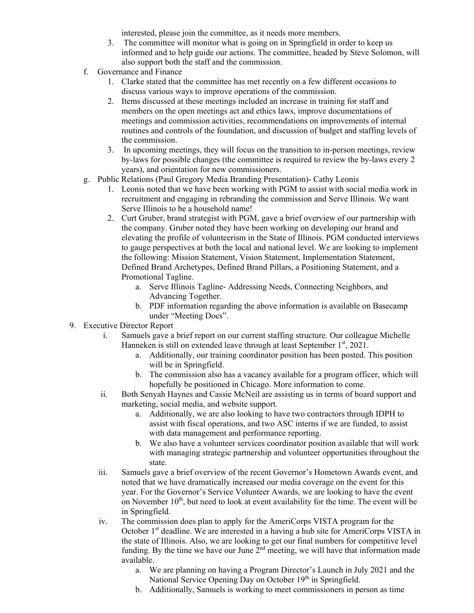interested, please join the committee, as it needs more members.

- 3. The committee will monitor what is going on in Springfield in order to keep us informed and to help guide our actions. The committee, headed by Steve Solomon, will also support both the staff and the commission.
- f. Governance and Finance
	- 1. Clarke stated that the committee has met recently on a few different occasions to discuss various ways to improve operations of the commission.
	- 2. Items discussed at these meetings included an increase in training for staff and members on the open meetings act and ethics laws, improve documentations of meetings and commission activities, recommendations on improvements of internal routines and controls of the foundation, and discussion of budget and staffing levels of the commission.
	- 3. In upcoming meetings, they will focus on the transition to in-person meetings, review by-laws for possible changes (the committee is required to review the by-laws every 2 years), and orientation for new commissioners.
- g. Public Relations (Paul Gregory Media Branding Presentation)- Cathy Leonis
	- 1. Leonis noted that we have been working with PGM to assist with social media work in recruitment and engaging in rebranding the commission and Serve Illinois. We want Serve Illinois to be a household name!
	- 2. Curt Gruber, brand strategist with PGM, gave a brief overview of our partnership with the company. Gruber noted they have been working on developing our brand and elevating the profile of volunteerism in the State of Illinois. PGM conducted interviews to gauge perspectives at both the local and national level. We are looking to implement the following: Mission Statement, Vision Statement, Implementation Statement, Defined Brand Archetypes, Defined Brand Pillars, a Positioning Statement, and a Promotional Tagline.
		- a. Serve Illinois Tagline- Addressing Needs, Connecting Neighbors, and Advancing Together.
		- b. PDF information regarding the above information is available on Basecamp under "Meeting Docs".
- 9. Executive Director Report
	- i. Samuels gave a brief report on our current staffing structure. Our colleague Michelle Hanneken is still on extended leave through at least September  $1<sup>st</sup>$ , 2021.
		- a. Additionally, our training coordinator position has been posted. This position will be in Springfield.
		- b. The commission also has a vacancy available for a program officer, which will hopefully be positioned in Chicago. More information to come.
	- ii. Both Senyah Haynes and Cassie McNeil are assisting us in terms of board support and marketing, social media, and website support.
		- a. Additionally, we are also looking to have two contractors through IDPH to assist with fiscal operations, and two ASC interns if we are funded, to assist with data management and performance reporting.
		- b. We also have a volunteer services coordinator position available that will work with managing strategic partnership and volunteer opportunities throughout the state.
	- iii. Samuels gave a brief overview of the recent Governor's Hometown Awards event, and noted that we have dramatically increased our media coverage on the event for this year. For the Governor's Service Volunteer Awards, we are looking to have the event on November  $10<sup>th</sup>$ , but need to look at event availability for the time. The event will be in Springfield.
	- iv. The commission does plan to apply for the AmeriCorps VISTA program for the October  $1<sup>st</sup>$  deadline. We are interested in a having a hub site for AmeriCorps VISTA in the state of Illinois. Also, we are looking to get our final numbers for competitive level funding. By the time we have our June  $2<sup>nd</sup>$  meeting, we will have that information made available.
		- a. We are planning on having a Program Director's Launch in July 2021 and the National Service Opening Day on October 19<sup>th</sup> in Springfield.
		- b. Additionally, Samuels is working to meet commissioners in person as time